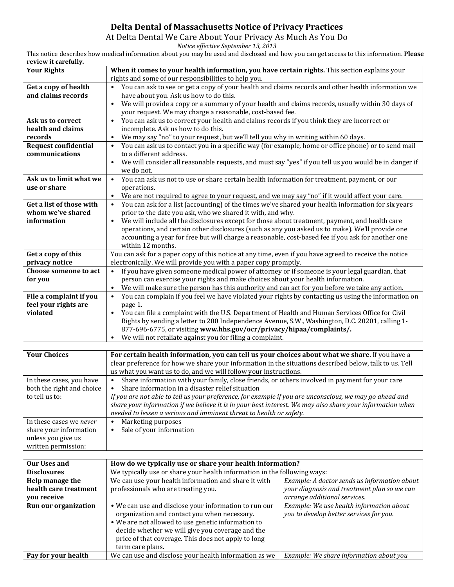## **Delta Dental of Massachusetts Notice of Privacy Practices**

At Delta Dental We Care About Your Privacy As Much As You Do

*Notice effective September 13, 2013*

This notice describes how medical information about you may be used and disclosed and how you can get access to this information. **Please review it carefully.**

| review it carefully.        |                                                                                                                  |  |  |
|-----------------------------|------------------------------------------------------------------------------------------------------------------|--|--|
| <b>Your Rights</b>          | When it comes to your health information, you have certain rights. This section explains your                    |  |  |
|                             | rights and some of our responsibilities to help you.                                                             |  |  |
| Get a copy of health        | You can ask to see or get a copy of your health and claims records and other health information we<br>$\bullet$  |  |  |
| and claims records          | have about you. Ask us how to do this.                                                                           |  |  |
|                             | We will provide a copy or a summary of your health and claims records, usually within 30 days of<br>$\bullet$    |  |  |
|                             | your request. We may charge a reasonable, cost-based fee.                                                        |  |  |
| Ask us to correct           | You can ask us to correct your health and claims records if you think they are incorrect or<br>$\bullet$         |  |  |
| health and claims           | incomplete. Ask us how to do this.                                                                               |  |  |
| records                     | We may say "no" to your request, but we'll tell you why in writing within 60 days.                               |  |  |
|                             | $\bullet$                                                                                                        |  |  |
| <b>Request confidential</b> | You can ask us to contact you in a specific way (for example, home or office phone) or to send mail              |  |  |
| communications              | to a different address.                                                                                          |  |  |
|                             | We will consider all reasonable requests, and must say "yes" if you tell us you would be in danger if            |  |  |
|                             | we do not.                                                                                                       |  |  |
| Ask us to limit what we     | You can ask us not to use or share certain health information for treatment, payment, or our<br>$\bullet$        |  |  |
| use or share                | operations.                                                                                                      |  |  |
|                             | We are not required to agree to your request, and we may say "no" if it would affect your care.                  |  |  |
| Get a list of those with    | You can ask for a list (accounting) of the times we've shared your health information for six years<br>$\bullet$ |  |  |
| whom we've shared           | prior to the date you ask, who we shared it with, and why.                                                       |  |  |
| information                 | We will include all the disclosures except for those about treatment, payment, and health care                   |  |  |
|                             | operations, and certain other disclosures (such as any you asked us to make). We'll provide one                  |  |  |
|                             | accounting a year for free but will charge a reasonable, cost-based fee if you ask for another one               |  |  |
|                             | within 12 months.                                                                                                |  |  |
| Get a copy of this          | You can ask for a paper copy of this notice at any time, even if you have agreed to receive the notice           |  |  |
| privacy notice              | electronically. We will provide you with a paper copy promptly.                                                  |  |  |
| Choose someone to act       | $\bullet$<br>If you have given someone medical power of attorney or if someone is your legal guardian, that      |  |  |
|                             |                                                                                                                  |  |  |
| for you                     | person can exercise your rights and make choices about your health information.                                  |  |  |
|                             | We will make sure the person has this authority and can act for you before we take any action.<br>$\bullet$      |  |  |
| File a complaint if you     | You can complain if you feel we have violated your rights by contacting us using the information on<br>$\bullet$ |  |  |
| feel your rights are        | page 1.                                                                                                          |  |  |
| violated                    | You can file a complaint with the U.S. Department of Health and Human Services Office for Civil<br>$\bullet$     |  |  |
|                             | Rights by sending a letter to 200 Independence Avenue, S.W., Washington, D.C. 20201, calling 1-                  |  |  |
|                             | 877-696-6775, or visiting www.hhs.gov/ocr/privacy/hipaa/complaints/.                                             |  |  |
|                             | We will not retaliate against you for filing a complaint.                                                        |  |  |
|                             |                                                                                                                  |  |  |
| <b>Your Choices</b>         | For certain health information, you can tell us your choices about what we share. If you have a                  |  |  |
|                             | clear preference for how we share your information in the situations described below, talk to us. Tell           |  |  |
|                             | us what you want us to do, and we will follow your instructions.                                                 |  |  |
| In these cases, you have    | Share information with your family, close friends, or others involved in payment for your care<br>$\bullet$      |  |  |
| both the right and choice   | Share information in a disaster relief situation                                                                 |  |  |
|                             |                                                                                                                  |  |  |
| to tell us to:              | If you are not able to tell us your preference, for example if you are unconscious, we may go ahead and          |  |  |
|                             | share your information if we believe it is in your best interest. We may also share your information when        |  |  |
|                             | needed to lessen a serious and imminent threat to health or safety.                                              |  |  |
|                             |                                                                                                                  |  |  |

|                         | neeged to ressen a serious and imminent threat to health o |
|-------------------------|------------------------------------------------------------|
| In these cases we never | Marketing purposes<br>$\bullet$                            |
| share your information  | Sale of your information<br>$\bullet$                      |
| unless you give us      |                                                            |
| written permission:     |                                                            |

| <b>Our Uses and</b>   | How do we typically use or share your health information?                                                                                                                                                                                                                                  |                                                                                     |  |
|-----------------------|--------------------------------------------------------------------------------------------------------------------------------------------------------------------------------------------------------------------------------------------------------------------------------------------|-------------------------------------------------------------------------------------|--|
| <b>Disclosures</b>    | We typically use or share your health information in the following ways:                                                                                                                                                                                                                   |                                                                                     |  |
| Help manage the       | We can use your health information and share it with                                                                                                                                                                                                                                       | Example: A doctor sends us information about                                        |  |
| health care treatment | professionals who are treating you.                                                                                                                                                                                                                                                        | your diagnosis and treatment plan so we can                                         |  |
| vou receive           |                                                                                                                                                                                                                                                                                            | arrange additional services.                                                        |  |
| Run our organization  | • We can use and disclose your information to run our<br>organization and contact you when necessary.<br>• We are not allowed to use genetic information to<br>decide whether we will give you coverage and the<br>price of that coverage. This does not apply to long<br>term care plans. | Example: We use health information about<br>you to develop better services for you. |  |
| Pay for your health   | We can use and disclose your health information as we                                                                                                                                                                                                                                      | Example: We share information about you                                             |  |
|                       |                                                                                                                                                                                                                                                                                            |                                                                                     |  |